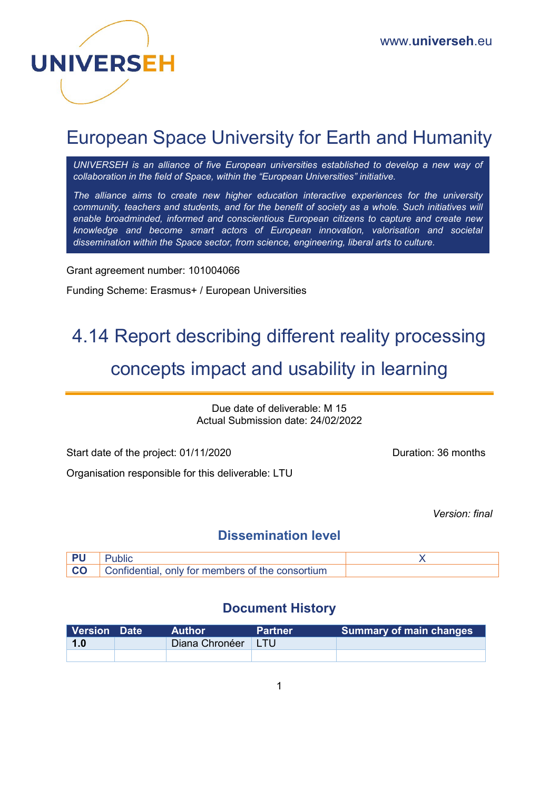

# European Space University for Earth and Humanity

*UNIVERSEH is an alliance of five European universities established to develop a new way of collaboration in the field of Space, within the "European Universities" initiative.*

*The alliance aims to create new higher education interactive experiences for the university community, teachers and students, and for the benefit of society as a whole. Such initiatives will enable broadminded, informed and conscientious European citizens to capture and create new knowledge and become smart actors of European innovation, valorisation and societal dissemination within the Space sector, from science, engineering, liberal arts to culture.*

Grant agreement number: 101004066

Funding Scheme: Erasmus+ / European Universities

# 4.14 Report describing different reality processing concepts impact and usability in learning

Due date of deliverable: M 15 Actual Submission date: 24/02/2022

Start date of the project: 01/11/2020 Duration: 36 months

Organisation responsible for this deliverable: LTU

*Version: final* 

# **Dissemination level**

| PU |                                                            |  |
|----|------------------------------------------------------------|--|
|    | <b>CO</b> Confidential, only for members of the consortium |  |

# **Document History**

| Version Date | Author.              | <b>Partner</b> | <b>Summary of main changes</b> |
|--------------|----------------------|----------------|--------------------------------|
| 1.0          | Diana Chronéer   LTU |                |                                |
|              |                      |                |                                |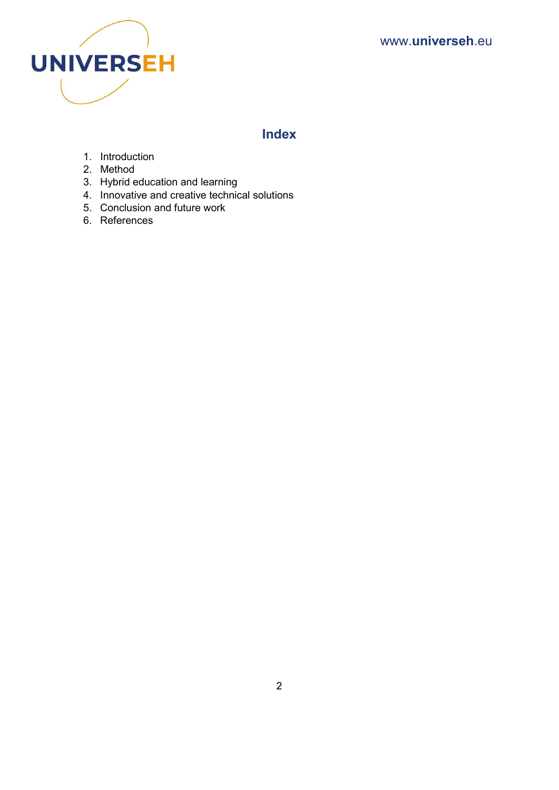

# **Index**

- 1. Introduction
- 2. Method
- 3. Hybrid education and learning
- 4. Innovative and creative technical solutions
- 5. Conclusion and future work
- 6. References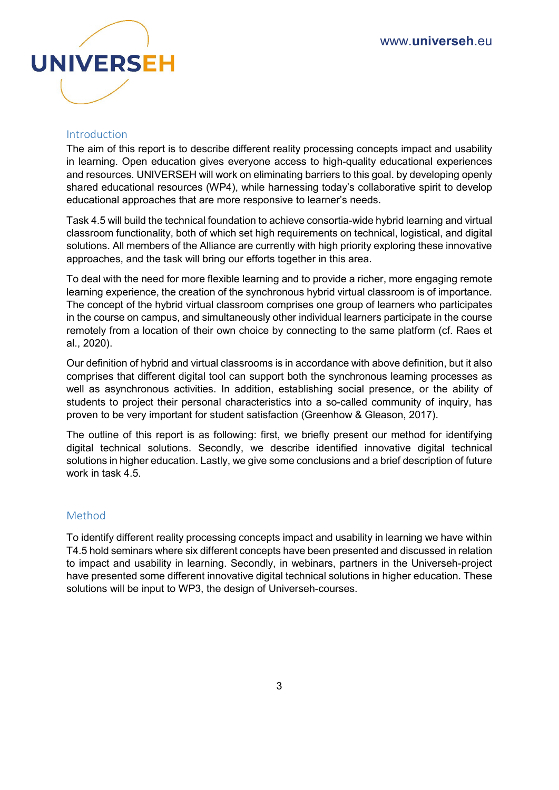

#### Introduction

The aim of this report is to describe different reality processing concepts impact and usability in learning. Open education gives everyone access to high-quality educational experiences and resources. UNIVERSEH will work on eliminating barriers to this goal. by developing openly shared educational resources (WP4), while harnessing today's collaborative spirit to develop educational approaches that are more responsive to learner's needs.

Task 4.5 will build the technical foundation to achieve consortia-wide hybrid learning and virtual classroom functionality, both of which set high requirements on technical, logistical, and digital solutions. All members of the Alliance are currently with high priority exploring these innovative approaches, and the task will bring our efforts together in this area.

To deal with the need for more flexible learning and to provide a richer, more engaging remote learning experience, the creation of the synchronous hybrid virtual classroom is of importance. The concept of the hybrid virtual classroom comprises one group of learners who participates in the course on campus, and simultaneously other individual learners participate in the course remotely from a location of their own choice by connecting to the same platform (cf. Raes et al., 2020).

Our definition of hybrid and virtual classrooms is in accordance with above definition, but it also comprises that different digital tool can support both the synchronous learning processes as well as asynchronous activities. In addition, establishing social presence, or the ability of students to project their personal characteristics into a so-called community of inquiry, has proven to be very important for student satisfaction (Greenhow & Gleason, 2017).

The outline of this report is as following: first, we briefly present our method for identifying digital technical solutions. Secondly, we describe identified innovative digital technical solutions in higher education. Lastly, we give some conclusions and a brief description of future work in task 4.5.

#### Method

To identify different reality processing concepts impact and usability in learning we have within T4.5 hold seminars where six different concepts have been presented and discussed in relation to impact and usability in learning. Secondly, in webinars, partners in the Universeh-project have presented some different innovative digital technical solutions in higher education. These solutions will be input to WP3, the design of Universeh-courses.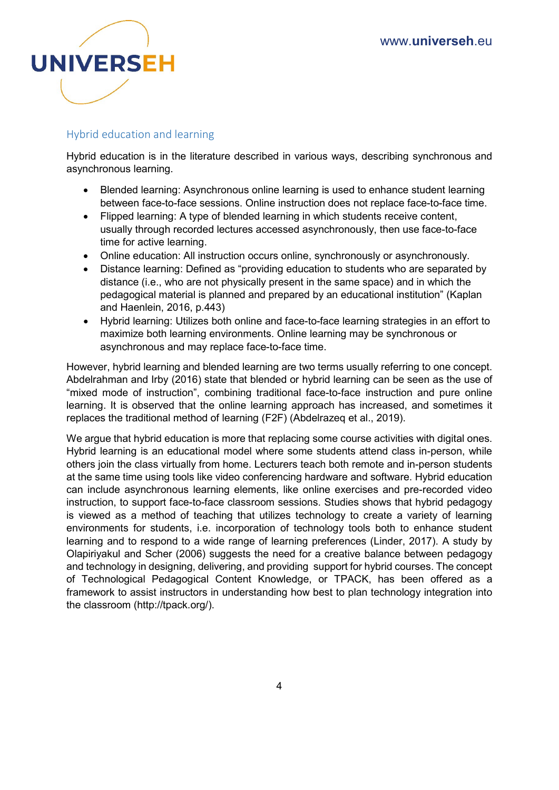

## Hybrid education and learning

Hybrid education is in the literature described in various ways, describing synchronous and asynchronous learning.

- Blended learning: Asynchronous online learning is used to enhance student learning between face-to-face sessions. Online instruction does not replace face-to-face time.
- Flipped learning: A type of blended learning in which students receive content, usually through recorded lectures accessed asynchronously, then use face-to-face time for active learning.
- Online education: All instruction occurs online, synchronously or asynchronously.
- Distance learning: Defined as "providing education to students who are separated by distance (i.e., who are not physically present in the same space) and in which the pedagogical material is planned and prepared by an educational institution" (Kaplan and Haenlein, 2016, p.443)
- Hybrid learning: Utilizes both online and face-to-face learning strategies in an effort to maximize both learning environments. Online learning may be synchronous or asynchronous and may replace face-to-face time.

However, hybrid learning and blended learning are two terms usually referring to one concept. Abdelrahman and Irby (2016) state that blended or hybrid learning can be seen as the use of "mixed mode of instruction", combining traditional face-to-face instruction and pure online learning. It is observed that the online learning approach has increased, and sometimes it replaces the traditional method of learning (F2F) (Abdelrazeq et al., 2019).

We argue that hybrid education is more that replacing some course activities with digital ones. Hybrid learning is an educational model where some students attend class in-person, while others join the class virtually from home. Lecturers teach both remote and in-person students at the same time using tools like video conferencing hardware and software. Hybrid education can include asynchronous learning elements, like online exercises and pre-recorded video instruction, to support face-to-face classroom sessions. Studies shows that hybrid pedagogy is viewed as a method of teaching that utilizes technology to create a variety of learning environments for students, i.e. incorporation of technology tools both to enhance student learning and to respond to a wide range of learning preferences (Linder, 2017). A study by Olapiriyakul and Scher (2006) suggests the need for a creative balance between pedagogy and technology in designing, delivering, and providing support for hybrid courses. The concept of Technological Pedagogical Content Knowledge, or TPACK, has been offered as a framework to assist instructors in understanding how best to plan technology integration into the classroom (http://tpack.org/).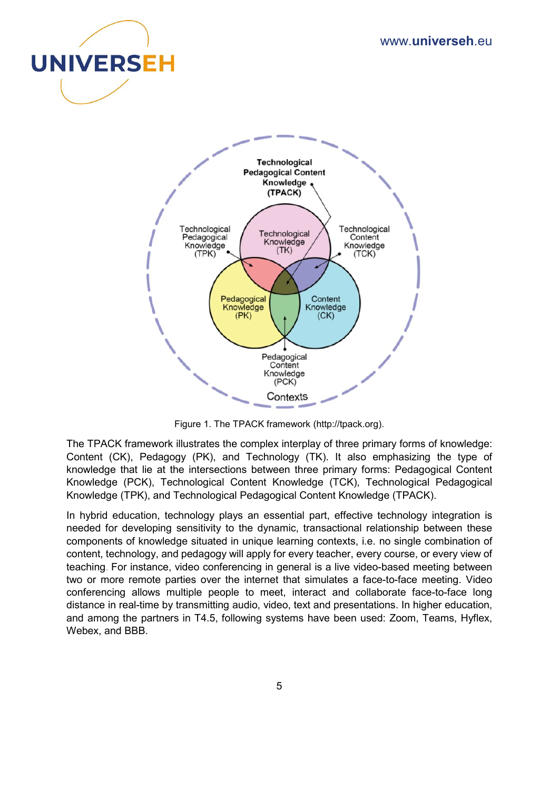



Figure 1. The TPACK framework (http://tpack.org).

The TPACK framework illustrates the complex interplay of three primary forms of knowledge: Content (CK), Pedagogy (PK), and Technology (TK). It also emphasizing the type of knowledge that lie at the intersections between three primary forms: Pedagogical Content Knowledge (PCK), Technological Content Knowledge (TCK), Technological Pedagogical Knowledge (TPK), and Technological Pedagogical Content Knowledge (TPACK).

In hybrid education, technology plays an essential part, effective technology integration is needed for developing sensitivity to the dynamic, transactional relationship between these components of knowledge situated in unique learning contexts, i.e. no single combination of content, technology, and pedagogy will apply for every teacher, every course, or every view of teaching. For instance, video conferencing in general is a live video-based meeting between two or more remote parties over the internet that simulates a face-to-face meeting. Video conferencing allows multiple people to meet, interact and collaborate face-to-face long distance in real-time by transmitting audio, video, text and presentations. In higher education, and among the partners in T4.5, following systems have been used: Zoom, Teams, Hyflex, Webex, and BBB.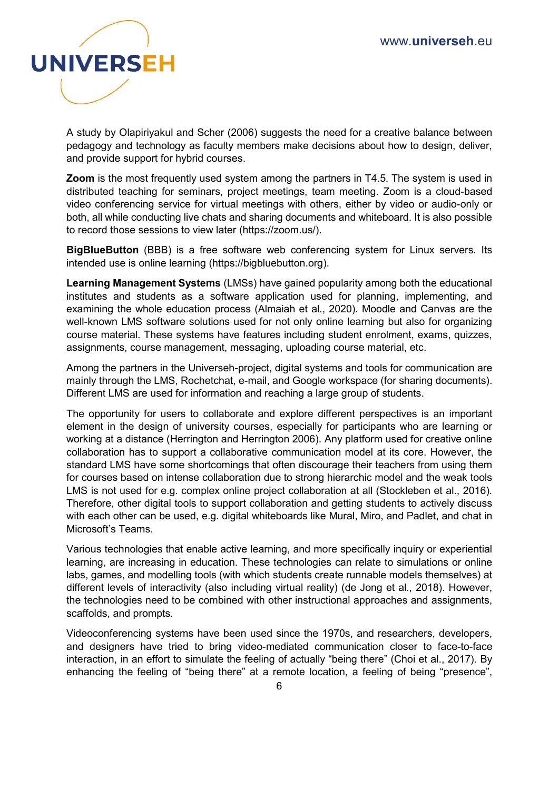

A study by Olapiriyakul and Scher (2006) suggests the need for a creative balance between pedagogy and technology as faculty members make decisions about how to design, deliver, and provide support for hybrid courses.

**Zoom** is the most frequently used system among the partners in T4.5. The system is used in distributed teaching for seminars, project meetings, team meeting. Zoom is a cloud-based video conferencing service for virtual meetings with others, either by video or audio-only or both, all while conducting live chats and sharing documents and whiteboard. It is also possible to record those sessions to view later (https://zoom.us/).

**BigBlueButton** (BBB) is a free software web conferencing system for Linux servers. Its intended use is online learning (https://bigbluebutton.org).

**Learning Management Systems** (LMSs) have gained popularity among both the educational institutes and students as a software application used for planning, implementing, and examining the whole education process (Almaiah et al., 2020). Moodle and Canvas are the well-known LMS software solutions used for not only online learning but also for organizing course material. These systems have features including student enrolment, exams, quizzes, assignments, course management, messaging, uploading course material, etc.

Among the partners in the Universeh-project, digital systems and tools for communication are mainly through the LMS, Rochetchat, e-mail, and Google workspace (for sharing documents). Different LMS are used for information and reaching a large group of students.

The opportunity for users to collaborate and explore different perspectives is an important element in the design of university courses, especially for participants who are learning or working at a distance (Herrington and Herrington 2006). Any platform used for creative online collaboration has to support a collaborative communication model at its core. However, the standard LMS have some shortcomings that often discourage their teachers from using them for courses based on intense collaboration due to strong hierarchic model and the weak tools LMS is not used for e.g. complex online project collaboration at all (Stockleben et al., 2016). Therefore, other digital tools to support collaboration and getting students to actively discuss with each other can be used, e.g. digital whiteboards like Mural, Miro, and Padlet, and chat in Microsoft's Teams.

Various technologies that enable active learning, and more specifically inquiry or experiential learning, are increasing in education. These technologies can relate to simulations or online labs, games, and modelling tools (with which students create runnable models themselves) at different levels of interactivity (also including virtual reality) (de Jong et al., 2018). However, the technologies need to be combined with other instructional approaches and assignments, scaffolds, and prompts.

Videoconferencing systems have been used since the 1970s, and researchers, developers, and designers have tried to bring video-mediated communication closer to face-to-face interaction, in an effort to simulate the feeling of actually "being there" (Choi et al., 2017). By enhancing the feeling of "being there" at a remote location, a feeling of being "presence",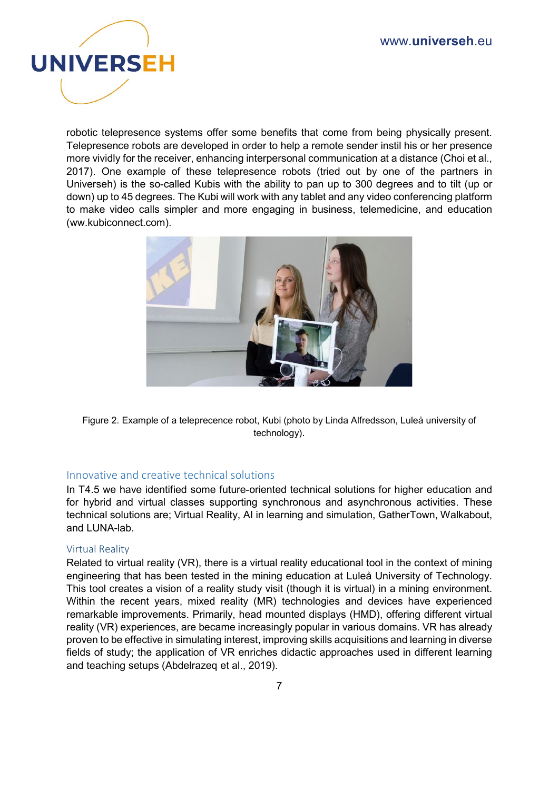

robotic telepresence systems offer some benefits that come from being physically present. Telepresence robots are developed in order to help a remote sender instil his or her presence more vividly for the receiver, enhancing interpersonal communication at a distance (Choi et al., 2017). One example of these telepresence robots (tried out by one of the partners in Universeh) is the so-called Kubis with the ability to pan up to 300 degrees and to tilt (up or down) up to 45 degrees. The Kubi will work with any tablet and any video conferencing platform to make video calls simpler and more engaging in business, telemedicine, and education (ww.kubiconnect.com).



Figure 2. Example of a teleprecence robot, Kubi (photo by Linda Alfredsson, Luleå university of technology).

### Innovative and creative technical solutions

In T4.5 we have identified some future-oriented technical solutions for higher education and for hybrid and virtual classes supporting synchronous and asynchronous activities. These technical solutions are; Virtual Reality, AI in learning and simulation, GatherTown, Walkabout, and LUNA-lab.

#### Virtual Reality

Related to virtual reality (VR), there is a virtual reality educational tool in the context of mining engineering that has been tested in the mining education at Luleå University of Technology. This tool creates a vision of a reality study visit (though it is virtual) in a mining environment. Within the recent years, mixed reality (MR) technologies and devices have experienced remarkable improvements. Primarily, head mounted displays (HMD), offering different virtual reality (VR) experiences, are became increasingly popular in various domains. VR has already proven to be effective in simulating interest, improving skills acquisitions and learning in diverse fields of study; the application of VR enriches didactic approaches used in different learning and teaching setups (Abdelrazeq et al., 2019).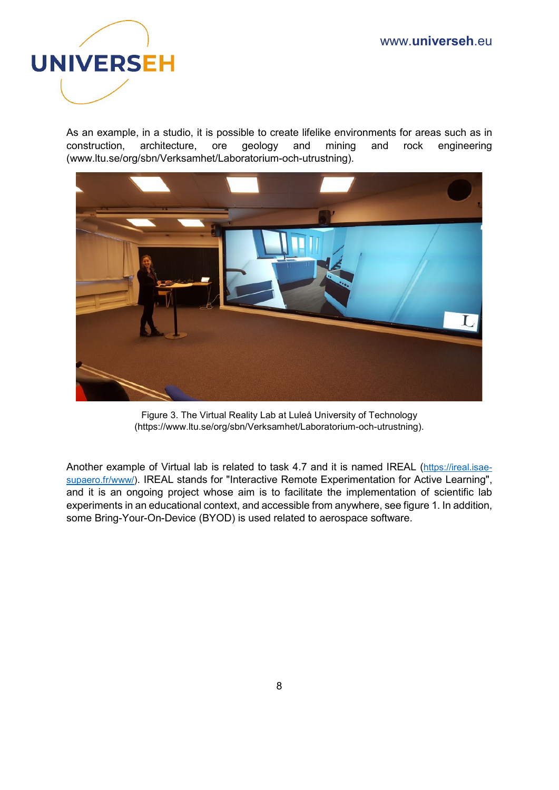

As an example, in a studio, it is possible to create lifelike environments for areas such as in construction, architecture, ore geology and mining and rock engineering (www.ltu.se/org/sbn/Verksamhet/Laboratorium-och-utrustning).



Figure 3. The Virtual Reality Lab at Luleå University of Technology (https://www.ltu.se/org/sbn/Verksamhet/Laboratorium-och-utrustning).

Another example of Virtual lab is related to task 4.7 and it is named IREAL [\(https://ireal.isae](https://ireal.isae-supaero.fr/www/)[supaero.fr/www/\)](https://ireal.isae-supaero.fr/www/). IREAL stands for "Interactive Remote Experimentation for Active Learning", and it is an ongoing project whose aim is to facilitate the implementation of scientific lab experiments in an educational context, and accessible from anywhere, see figure 1. In addition, some Bring-Your-On-Device (BYOD) is used related to aerospace software.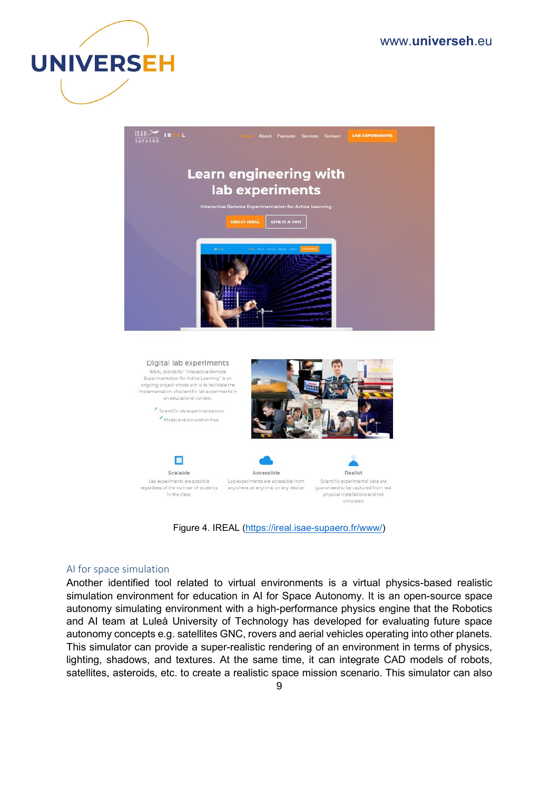



Scientific lab experimentations Model and simulation free





Lab experiments are possible regardless of the number of students anywhere, at anytime, on any device. in the class.

Accessible Lab experiments are accessible from

Realist Scientific experimental data are guaranteed to be captured from real physical installations and not simulated

Figure 4. IREAL [\(https://ireal.isae-supaero.fr/www/\)](https://ireal.isae-supaero.fr/www/)

#### AI for space simulation

Another identified tool related to virtual environments is a virtual physics-based realistic simulation environment for education in AI for Space Autonomy. It is an open-source space autonomy simulating environment with a high-performance physics engine that the Robotics and AI team at Luleå University of Technology has developed for evaluating future space autonomy concepts e.g. satellites GNC, rovers and aerial vehicles operating into other planets. This simulator can provide a super-realistic rendering of an environment in terms of physics, lighting, shadows, and textures. At the same time, it can integrate CAD models of robots, satellites, asteroids, etc. to create a realistic space mission scenario. This simulator can also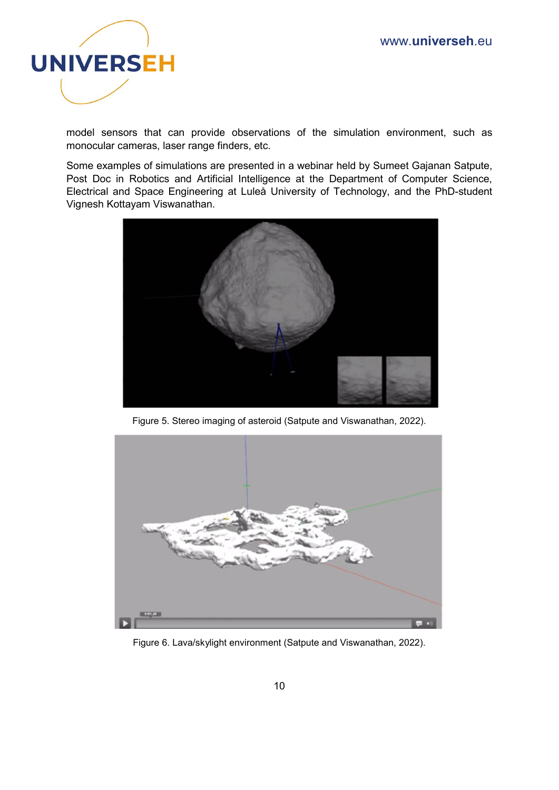

model sensors that can provide observations of the simulation environment, such as monocular cameras, laser range finders, etc.

Some examples of simulations are presented in a webinar held by Sumeet Gajanan Satpute, Post Doc in Robotics and Artificial Intelligence at the Department of Computer Science, Electrical and Space Engineering at Luleå University of Technology, and the PhD-student Vignesh Kottayam Viswanathan.



Figure 5. Stereo imaging of asteroid (Satpute and Viswanathan, 2022).



Figure 6. Lava/skylight environment (Satpute and Viswanathan, 2022).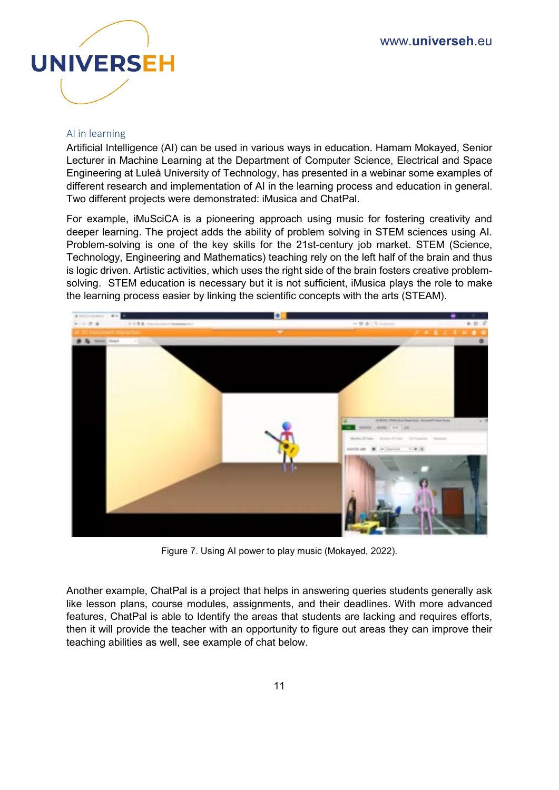

#### AI in learning

Artificial Intelligence (AI) can be used in various ways in education. Hamam Mokayed, Senior Lecturer in Machine Learning at the Department of Computer Science, Electrical and Space Engineering at Luleå University of Technology, has presented in a webinar some examples of different research and implementation of AI in the learning process and education in general. Two different projects were demonstrated: iMusica and ChatPal.

For example, iMuSciCA is a pioneering approach using music for fostering creativity and deeper learning. The project adds the ability of problem solving in STEM sciences using AI. Problem-solving is one of the key skills for the 21st-century job market. STEM (Science, Technology, Engineering and Mathematics) teaching rely on the left half of the brain and thus is logic driven. Artistic activities, which uses the right side of the brain fosters creative problemsolving. STEM education is necessary but it is not sufficient, iMusica plays the role to make the learning process easier by linking the scientific concepts with the arts (STEAM).



Figure 7. Using AI power to play music (Mokayed, 2022).

Another example, ChatPal is a project that helps in answering queries students generally ask like lesson plans, course modules, assignments, and their deadlines. With more advanced features, ChatPal is able to Identify the areas that students are lacking and requires efforts, then it will provide the teacher with an opportunity to figure out areas they can improve their teaching abilities as well, see example of chat below.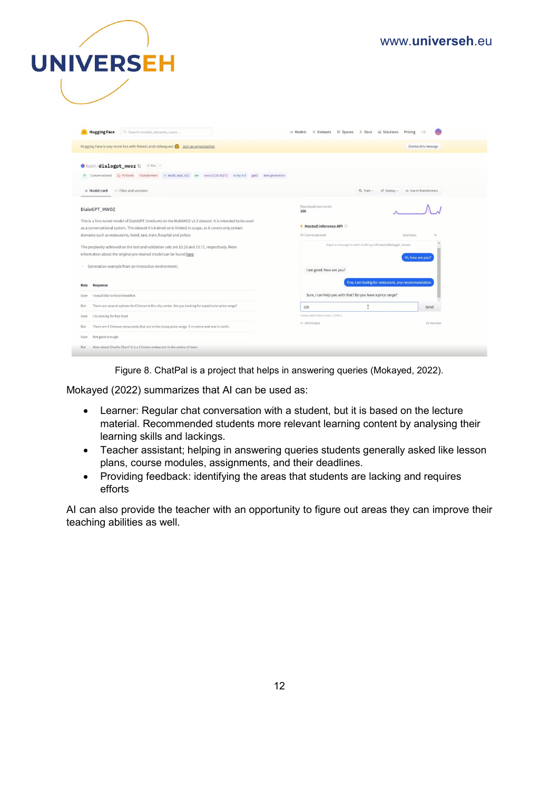

| Q. Search models, datasets, users<br><b>Hugging Face</b>                                                                                                                                                                                                                                   | Models                                           | Datasets <b>B</b> Spaces <b>fi</b> Docs <b>B</b> Solutions Pricing                                         | $\sim$ 500           |  |  |  |
|--------------------------------------------------------------------------------------------------------------------------------------------------------------------------------------------------------------------------------------------------------------------------------------------|--------------------------------------------------|------------------------------------------------------------------------------------------------------------|----------------------|--|--|--|
| Hugging Face is way more fun with friends and colleagues! $\bigcirc$ Join an organization                                                                                                                                                                                                  |                                                  |                                                                                                            | Dismiss this message |  |  |  |
| tosin/dialogpt_mwoz h vike 2<br>Conversational O PyTorch Transformers multi_woz_v22 en arxiv:2110.06273 cc-by-4.0 gpt2<br>text-generation<br>日.                                                                                                                                            |                                                  |                                                                                                            |                      |  |  |  |
| Model card<br>Files and versions                                                                                                                                                                                                                                                           |                                                  | $\mathcal Q$ Deploy -<br><b><br/> Train</b> -                                                              | Vse in Transformers  |  |  |  |
| DialoGPT_MWOZ                                                                                                                                                                                                                                                                              | Downloads last month<br>166                      |                                                                                                            |                      |  |  |  |
| This is a fine-tuned model of DialoGPT (medium) on the MultiWOZ v2.2 dataset. It is intended to be used<br>as a conversational system. The dataset it's trained on is limited in scope, as it covers only certain<br>domains such as restaurants, hotel, taxi, train, hospital and police. | Hosted inference API<br><b>ED</b> Conversational | Examples                                                                                                   |                      |  |  |  |
| The perplexity achieved on the test and validation sets are 10.25 and 10.71, respectively. More<br>information about the original pre-trained model can be found here                                                                                                                      |                                                  | Input a message to start chatting with tosin/dialogpt_mwoz.<br>Hi, how are you?<br>I am good. How are you? |                      |  |  |  |
| <sup>e</sup> Generation example from an interactive environment:                                                                                                                                                                                                                           |                                                  |                                                                                                            |                      |  |  |  |
| Response<br>Role                                                                                                                                                                                                                                                                           |                                                  | fine, I am lookig for restaurant, any recommendation                                                       |                      |  |  |  |
| I would like to have breakfast.<br>User                                                                                                                                                                                                                                                    |                                                  | Sure, I can help you with that? Do you have a price range?                                                 |                      |  |  |  |
| There are several options for Chinese in the city centre. Are you looking for a particular price range?<br>Bot                                                                                                                                                                             | 100                                              |                                                                                                            | Send                 |  |  |  |
| I'm looking for free food<br>User                                                                                                                                                                                                                                                          | Computation time on cpu: 1,0788 s                |                                                                                                            |                      |  |  |  |
| There are 4 Chinese restaurants that are in the cheap price range. 3 in centre and one in north.<br>Bot                                                                                                                                                                                    | <br>JSON Output                                  | E3 Maximize                                                                                                |                      |  |  |  |
| Not good enough<br>User                                                                                                                                                                                                                                                                    |                                                  |                                                                                                            |                      |  |  |  |
| How about Charlie Chan? It is a Chinese restaurant in the centre of town.<br>Bot                                                                                                                                                                                                           |                                                  |                                                                                                            |                      |  |  |  |

Figure 8. ChatPal is a project that helps in answering queries (Mokayed, 2022).

Mokayed (2022) summarizes that AI can be used as:

- Learner: Regular chat conversation with a student, but it is based on the lecture material. Recommended students more relevant learning content by analysing their learning skills and lackings.
- Teacher assistant; helping in answering queries students generally asked like lesson plans, course modules, assignments, and their deadlines.
- Providing feedback: identifying the areas that students are lacking and requires efforts

AI can also provide the teacher with an opportunity to figure out areas they can improve their teaching abilities as well.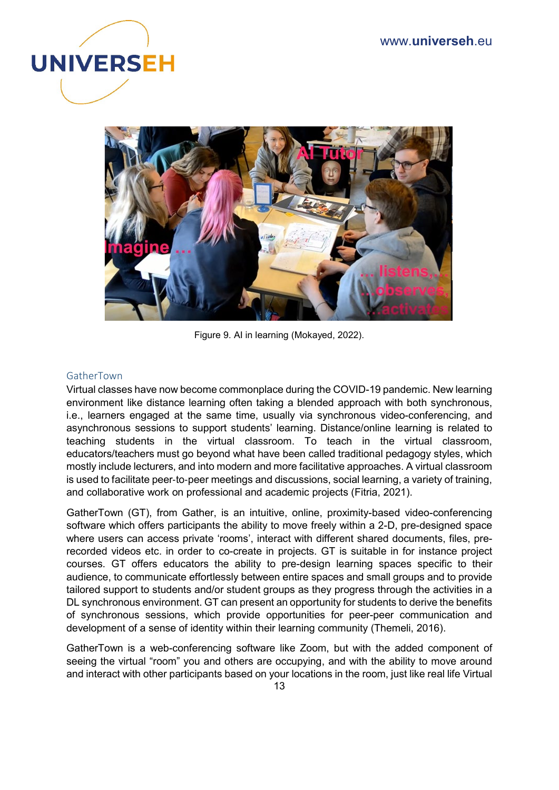



Figure 9. AI in learning (Mokayed, 2022).

#### GatherTown

Virtual classes have now become commonplace during the COVID-19 pandemic. New learning environment like distance learning often taking a blended approach with both synchronous, i.e., learners engaged at the same time, usually via synchronous video-conferencing, and asynchronous sessions to support students' learning. Distance/online learning is related to teaching students in the virtual classroom. To teach in the virtual classroom, educators/teachers must go beyond what have been called traditional pedagogy styles, which mostly include lecturers, and into modern and more facilitative approaches. A virtual classroom is used to facilitate peer‐to‐peer meetings and discussions, social learning, a variety of training, and collaborative work on professional and academic projects (Fitria, 2021).

GatherTown (GT), from Gather, is an intuitive, online, proximity-based video-conferencing software which offers participants the ability to move freely within a 2-D, pre-designed space where users can access private 'rooms', interact with different shared documents, files, prerecorded videos etc. in order to co-create in projects. GT is suitable in for instance project courses. GT offers educators the ability to pre-design learning spaces specific to their audience, to communicate effortlessly between entire spaces and small groups and to provide tailored support to students and/or student groups as they progress through the activities in a DL synchronous environment. GT can present an opportunity for students to derive the benefits of synchronous sessions, which provide opportunities for peer-peer communication and development of a sense of identity within their learning community (Themeli, 2016).

GatherTown is a web-conferencing software like Zoom, but with the added component of seeing the virtual "room" you and others are occupying, and with the ability to move around and interact with other participants based on your locations in the room, just like real life Virtual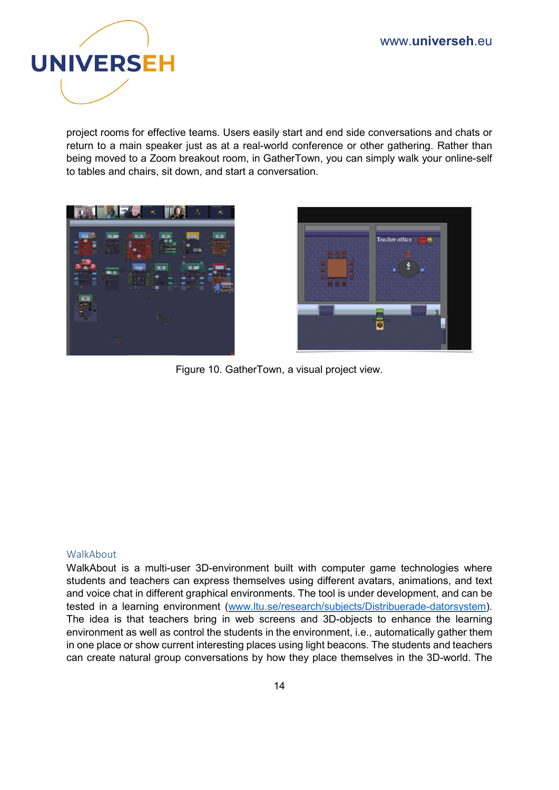

project rooms for effective teams. Users easily start and end side conversations and chats or return to a main speaker just as at a real-world conference or other gathering. Rather than being moved to a Zoom breakout room, in GatherTown, you can simply walk your online-self to tables and chairs, sit down, and start a conversation.





Figure 10. GatherTown, a visual project view.

#### WalkAbout

WalkAbout is a multi-user 3D-environment built with computer game technologies where students and teachers can express themselves using different avatars, animations, and text and voice chat in different graphical environments. The tool is under development, and can be tested in a learning environment [\(www.ltu.se/research/subjects/Distribuerade-datorsystem\)](http://www.ltu.se/research/subjects/Distribuerade-datorsystem). The idea is that teachers bring in web screens and 3D-objects to enhance the learning environment as well as control the students in the environment, i.e., automatically gather them in one place or show current interesting places using light beacons. The students and teachers can create natural group conversations by how they place themselves in the 3D-world. The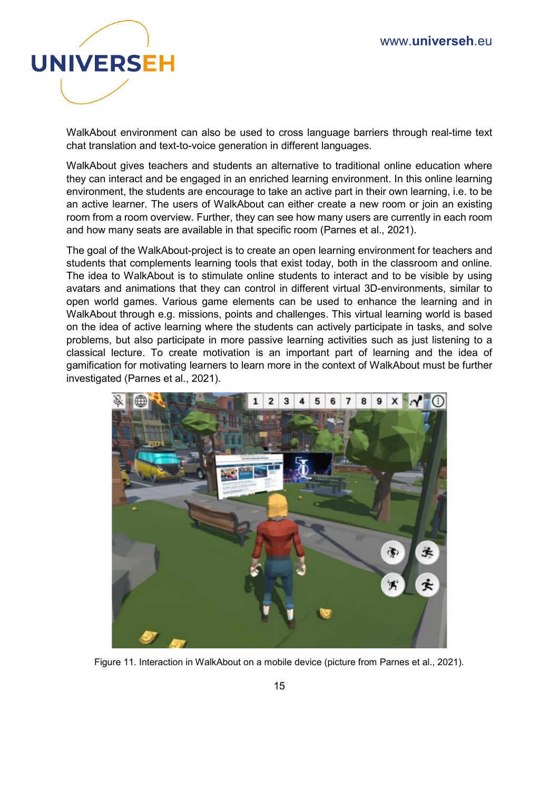

WalkAbout environment can also be used to cross language barriers through real-time text chat translation and text-to-voice generation in different languages.

WalkAbout gives teachers and students an alternative to traditional online education where they can interact and be engaged in an enriched learning environment. In this online learning environment, the students are encourage to take an active part in their own learning, i.e. to be an active learner. The users of WalkAbout can either create a new room or join an existing room from a room overview. Further, they can see how many users are currently in each room and how many seats are available in that specific room (Parnes et al., 2021).

The goal of the WalkAbout-project is to create an open learning environment for teachers and students that complements learning tools that exist today, both in the classroom and online. The idea to WalkAbout is to stimulate online students to interact and to be visible by using avatars and animations that they can control in different virtual 3D-environments, similar to open world games. Various game elements can be used to enhance the learning and in WalkAbout through e.g. missions, points and challenges. This virtual learning world is based on the idea of active learning where the students can actively participate in tasks, and solve problems, but also participate in more passive learning activities such as just listening to a classical lecture. To create motivation is an important part of learning and the idea of gamification for motivating learners to learn more in the context of WalkAbout must be further investigated (Parnes et al., 2021).



Figure 11. Interaction in WalkAbout on a mobile device (picture from Parnes et al., 2021).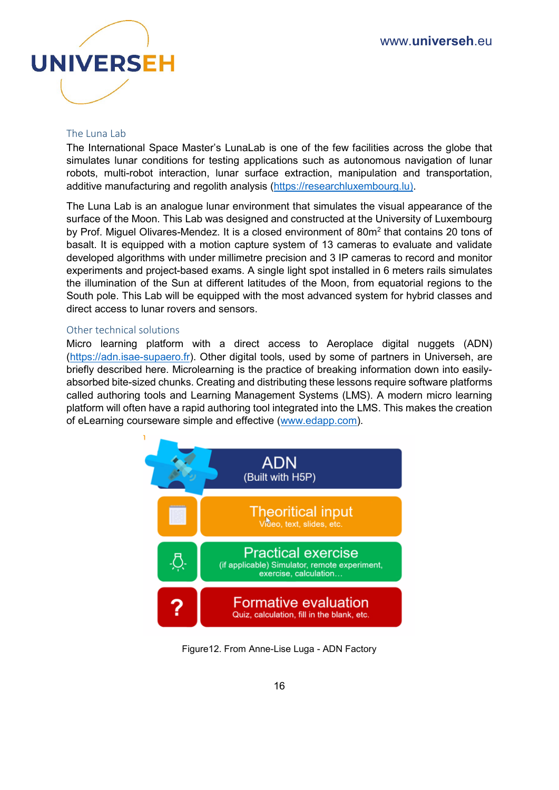

#### The Luna Lab

The International Space Master's LunaLab is one of the few facilities across the globe that simulates lunar conditions for testing applications such as autonomous navigation of lunar robots, multi-robot interaction, lunar surface extraction, manipulation and transportation, additive manufacturing and regolith analysis [\(https://researchluxembourg.lu\).](https://researchluxembourg.lu)/)

The Luna Lab is an analogue lunar environment that simulates the visual appearance of the surface of the Moon. This Lab was designed and constructed at the University of Luxembourg by Prof. Miguel Olivares-Mendez. It is a closed environment of 80m<sup>2</sup> that contains 20 tons of basalt. It is equipped with a motion capture system of 13 cameras to evaluate and validate developed algorithms with under millimetre precision and 3 IP cameras to record and monitor experiments and project-based exams. A single light spot installed in 6 meters rails simulates the illumination of the Sun at different latitudes of the Moon, from equatorial regions to the South pole. This Lab will be equipped with the most advanced system for hybrid classes and direct access to lunar rovers and sensors.

#### Other technical solutions

Micro learning platform with a direct access to Aeroplace digital nuggets (ADN) (https://adn.jsae-supaero.fr). Other digital tools, used by some of partners in Universeh, are briefly described here. Microlearning is the practice of breaking information down into easilyabsorbed bite-sized chunks. Creating and distributing these lessons require software platforms called authoring tools and Learning Management Systems (LMS). A modern micro learning platform will often have a rapid authoring tool integrated into the LMS. This makes the creation of eLearning courseware simple and effective [\(www.edapp.com\)](http://www.edapp.com/).



Figure12. From Anne-Lise Luga - ADN Factory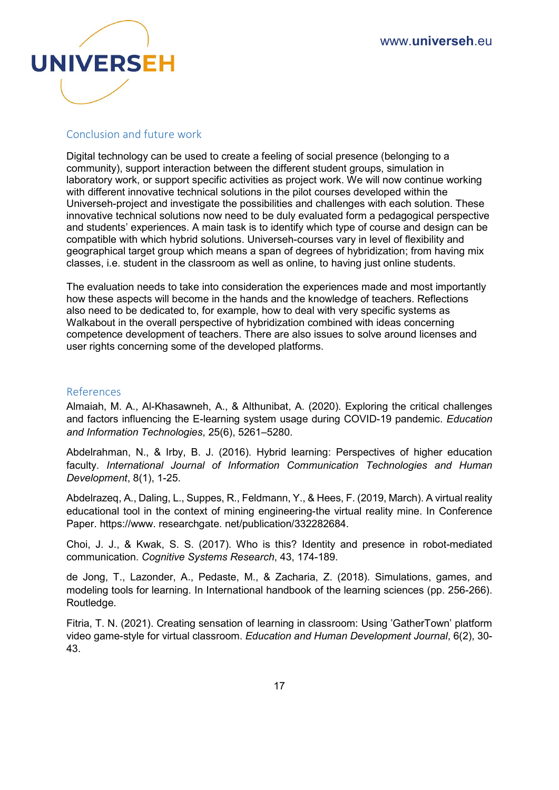

#### Conclusion and future work

Digital technology can be used to create a feeling of social presence (belonging to a community), support interaction between the different student groups, simulation in laboratory work, or support specific activities as project work. We will now continue working with different innovative technical solutions in the pilot courses developed within the Universeh-project and investigate the possibilities and challenges with each solution. These innovative technical solutions now need to be duly evaluated form a pedagogical perspective and students' experiences. A main task is to identify which type of course and design can be compatible with which hybrid solutions. Universeh-courses vary in level of flexibility and geographical target group which means a span of degrees of hybridization; from having mix classes, i.e. student in the classroom as well as online, to having just online students.

The evaluation needs to take into consideration the experiences made and most importantly how these aspects will become in the hands and the knowledge of teachers. Reflections also need to be dedicated to, for example, how to deal with very specific systems as Walkabout in the overall perspective of hybridization combined with ideas concerning competence development of teachers. There are also issues to solve around licenses and user rights concerning some of the developed platforms.

#### References

Almaiah, M. A., Al-Khasawneh, A., & Althunibat, A. (2020). Exploring the critical challenges and factors influencing the E-learning system usage during COVID-19 pandemic. *Education and Information Technologies*, 25(6), 5261–5280.

Abdelrahman, N., & Irby, B. J. (2016). Hybrid learning: Perspectives of higher education faculty. *International Journal of Information Communication Technologies and Human Development*, 8(1), 1-25.

Abdelrazeq, A., Daling, L., Suppes, R., Feldmann, Y., & Hees, F. (2019, March). A virtual reality educational tool in the context of mining engineering-the virtual reality mine. In Conference Paper. https://www. researchgate. net/publication/332282684.

Choi, J. J., & Kwak, S. S. (2017). Who is this? Identity and presence in robot-mediated communication. *Cognitive Systems Research*, 43, 174-189.

de Jong, T., Lazonder, A., Pedaste, M., & Zacharia, Z. (2018). Simulations, games, and modeling tools for learning. In International handbook of the learning sciences (pp. 256-266). Routledge.

Fitria, T. N. (2021). Creating sensation of learning in classroom: Using 'GatherTown' platform video game-style for virtual classroom. *Education and Human Development Journal*, 6(2), 30- 43.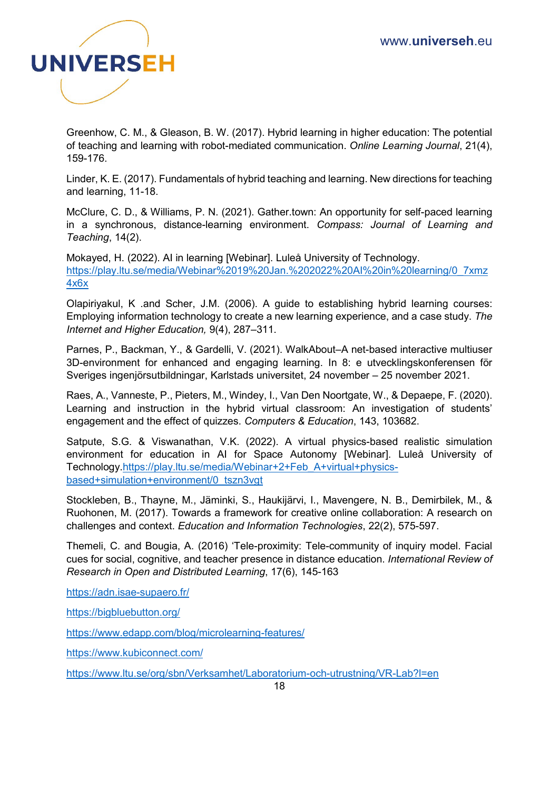

Greenhow, C. M., & Gleason, B. W. (2017). Hybrid learning in higher education: The potential of teaching and learning with robot-mediated communication. *Online Learning Journal*, 21(4), 159-176.

Linder, K. E. (2017). Fundamentals of hybrid teaching and learning. New directions for teaching and learning, 11-18.

McClure, C. D., & Williams, P. N. (2021). Gather.town: An opportunity for self-paced learning in a synchronous, distance-learning environment. *Compass: Journal of Learning and Teaching*, 14(2).

Mokayed, H. (2022). AI in learning [Webinar]. Luleå University of Technology. [https://play.ltu.se/media/Webinar%2019%20Jan.%202022%20AI%20in%20learning/0\\_7xmz](https://play.ltu.se/media/Webinar%2019%20Jan.%202022%20AI%20in%20learning/0_7xmz4x6x) [4x6x](https://play.ltu.se/media/Webinar%2019%20Jan.%202022%20AI%20in%20learning/0_7xmz4x6x)

Olapiriyakul, K .and Scher, J.M. (2006). A guide to establishing hybrid learning courses: Employing information technology to create a new learning experience, and a case study. *The Internet and Higher Education,* 9(4), 287–311.

Parnes, P., Backman, Y., & Gardelli, V. (2021). WalkAbout–A net-based interactive multiuser 3D-environment for enhanced and engaging learning. In 8: e utvecklingskonferensen för Sveriges ingenjörsutbildningar, Karlstads universitet, 24 november – 25 november 2021.

Raes, A., Vanneste, P., Pieters, M., Windey, I., Van Den Noortgate, W., & Depaepe, F. (2020). Learning and instruction in the hybrid virtual classroom: An investigation of students' engagement and the effect of quizzes. *Computers & Education*, 143, 103682.

Satpute, S.G. & Viswanathan, V.K. (2022). A virtual physics-based realistic simulation environment for education in AI for Space Autonomy [Webinar]. Luleå University of Technology[.https://play.ltu.se/media/Webinar+2+Feb\\_A+virtual+physics](https://play.ltu.se/media/Webinar+2+Feb_A+virtual+physics-based+simulation+environment/0_tszn3vgt)[based+simulation+environment/0\\_tszn3vgt](https://play.ltu.se/media/Webinar+2+Feb_A+virtual+physics-based+simulation+environment/0_tszn3vgt)

Stockleben, B., Thayne, M., Jäminki, S., Haukijärvi, I., Mavengere, N. B., Demirbilek, M., & Ruohonen, M. (2017). Towards a framework for creative online collaboration: A research on challenges and context. *Education and Information Technologies*, 22(2), 575-597.

Themeli, C. and Bougia, A. (2016) 'Tele-proximity: Tele-community of inquiry model. Facial cues for social, cognitive, and teacher presence in distance education. *International Review of Research in Open and Distributed Learning*, 17(6), 145-163

<https://adn.isae-supaero.fr/>

<https://bigbluebutton.org/>

<https://www.edapp.com/blog/microlearning-features/>

<https://www.kubiconnect.com/>

<https://www.ltu.se/org/sbn/Verksamhet/Laboratorium-och-utrustning/VR-Lab?l=en>